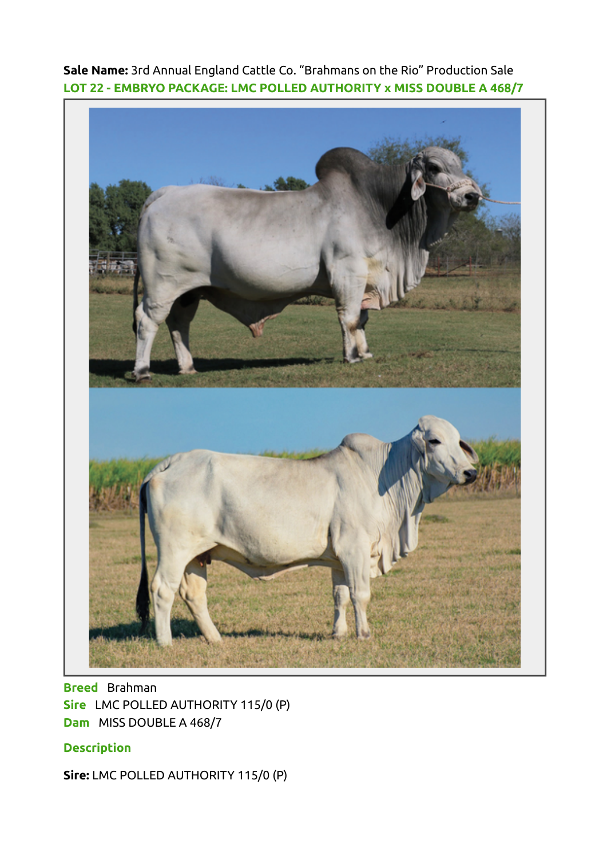Sale Name: 3rd Annual England Cattle Co. "Brahmans on the Rio" Production Sale LOT 22 - EMBRYO PACKAGE: LMC POLLED AUTHORITY x MISS DOUBLE A 468/7



Breed Brahman Sire LMC POLLED AUTHORITY 115/0 (P) Dam MISS DOUBLE A 468/7

## **Description**

Sire: LMC POLLED AUTHORITY 115/0 (P)